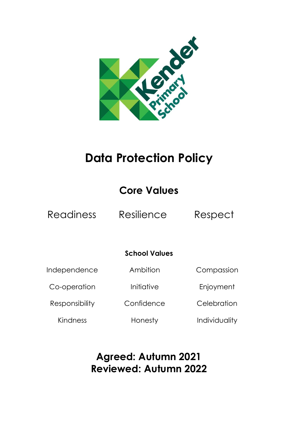

# **Data Protection Policy**

## **Core Values**

Readiness Resilience Respect

### **School Values**

Independence

Ambition

Co-operation

Responsibility

Initiative

**Confidence** 

Enjoyment

**Celebration** 

Compassion

Kindness

Honesty

**Individuality** 

### **Agreed: Autumn 2021 Reviewed: Autumn 2022**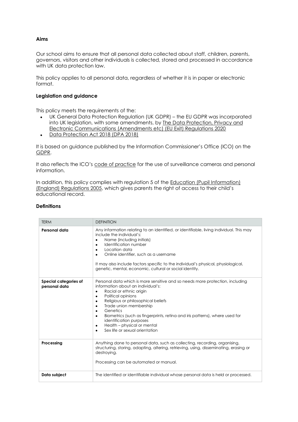#### **Aims**

Our school aims to ensure that all personal data collected about staff, children, parents, governors, visitors and other individuals is collected, stored and processed in accordance with UK data protection law.

This policy applies to all personal data, regardless of whether it is in paper or electronic format.

#### **Legislation and guidance**

This policy meets the requirements of the:

- UK General Data Protection Regulation (UK GDPR) the EU GDPR was incorporated into UK legislation, with some amendments, by [The Data Protection, Privacy and](https://www.legislation.gov.uk/uksi/2020/1586/made)  [Electronic Communications \(Amendments etc\) \(EU Exit\) Regulations 2020](https://www.legislation.gov.uk/uksi/2020/1586/made)
- [Data Protection Act 2018 \(DPA 2018\)](http://www.legislation.gov.uk/ukpga/2018/12/contents/enacted)

It is based on guidance published by the Information Commissioner's Office (ICO) on the [GDPR.](https://ico.org.uk/for-organisations/guide-to-the-general-data-protection-regulation-gdpr/)

It also reflects the ICO's [code of practice](https://ico.org.uk/media/for-organisations/documents/1542/cctv-code-of-practice.pdf) for the use of surveillance cameras and personal information.

In addition, this policy complies with regulation 5 of the **Education (Pupil Information)** [\(England\) Regulations 2005](http://www.legislation.gov.uk/uksi/2005/1437/regulation/5/made), which gives parents the right of access to their child's educational record.

#### **Definitions**

| <b>TERM</b>                            | <b>DEFINITION</b>                                                                                                                                                                                                                                                                                                                                                                                                                                                                           |
|----------------------------------------|---------------------------------------------------------------------------------------------------------------------------------------------------------------------------------------------------------------------------------------------------------------------------------------------------------------------------------------------------------------------------------------------------------------------------------------------------------------------------------------------|
| Personal data                          | Any information relating to an identified, or identifiable, living individual. This may<br>include the individual's:<br>Name (including initials)<br>٠<br>Identification number<br>٠<br>Location data<br>٠<br>Online identifier, such as a username<br>٠<br>It may also include factors specific to the individual's physical, physiological,<br>genetic, mental, economic, cultural or social identity.                                                                                    |
| Special categories of<br>personal data | Personal data which is more sensitive and so needs more protection, including<br>information about an individual's:<br>Racial or ethnic origin<br>$\bullet$<br>Political opinions<br>٠<br>Religious or philosophical beliefs<br>٠<br>Trade union membership<br>٠<br>Genetics<br>٠<br>Biometrics (such as fingerprints, retina and iris patterns), where used for<br>٠<br>identification purposes<br>Health - physical or mental<br>$\bullet$<br>Sex life or sexual orientation<br>$\bullet$ |
| Processing                             | Anything done to personal data, such as collecting, recording, organising,<br>structuring, storing, adapting, altering, retrieving, using, disseminating, erasing or<br>destroying.<br>Processing can be automated or manual.                                                                                                                                                                                                                                                               |
| Data subject                           | The identified or identifiable individual whose personal data is held or processed.                                                                                                                                                                                                                                                                                                                                                                                                         |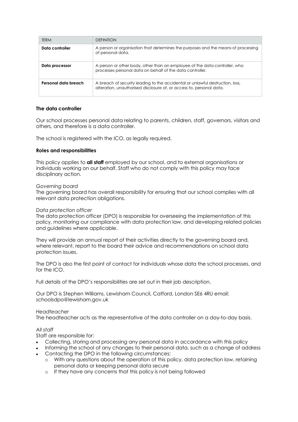| <b>TERM</b>          | <b>DEFINITION</b>                                                                                                                                     |
|----------------------|-------------------------------------------------------------------------------------------------------------------------------------------------------|
| Data controller      | A person or organisation that determines the purposes and the means of processing<br>of personal data.                                                |
| Data processor       | A person or other body, other than an employee of the data controller, who<br>processes personal data on behalf of the data controller.               |
| Personal data breach | A breach of security leading to the accidental or unlawful destruction, loss,<br>alteration, unauthorised disclosure of, or access to, personal data. |

#### **The data controller**

Our school processes personal data relating to parents, children, staff, governors, visitors and others, and therefore is a data controller.

The school is registered with the ICO, as legally required.

#### **Roles and responsibilities**

This policy applies to **all staff** employed by our school, and to external organisations or individuals working on our behalf. Staff who do not comply with this policy may face disciplinary action.

#### *Governing board*

The governing board has overall responsibility for ensuring that our school complies with all relevant data protection obligations.

#### *Data protection officer*

The data protection officer (DPO) is responsible for overseeing the implementation of this policy, monitoring our compliance with data protection law, and developing related policies and guidelines where applicable.

They will provide an annual report of their activities directly to the governing board and, where relevant, report to the board their advice and recommendations on school data protection issues.

The DPO is also the first point of contact for individuals whose data the school processes, and for the ICO.

Full details of the DPO's responsibilities are set out in their job description.

Our DPO is Stephen Williams, Lewisham Council, Catford, London SE6 4RU email: schoolsdpo@lewisham.gov.uk

#### *Headteacher*

The headteacher acts as the representative of the data controller on a day-to-day basis.

#### *All staff*

Staff are responsible for:

- Collecting, storing and processing any personal data in accordance with this policy
- Informing the school of any changes to their personal data, such as a change of address Contacting the DPO in the following circumstances:
	- o With any questions about the operation of this policy, data protection law, retaining personal data or keeping personal data secure
	- o If they have any concerns that this policy is not being followed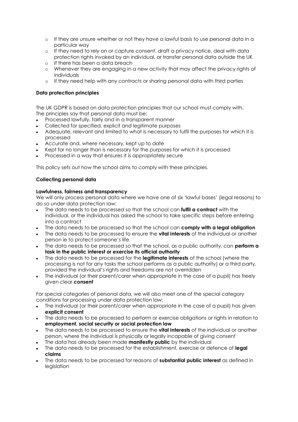- o If they are unsure whether or not they have a lawful basis to use personal data in a particular way
- o If they need to rely on or capture consent, draft a privacy notice, deal with data protection rights invoked by an individual, or transfer personal data outside the UK
- o If there has been a data breach
- o Whenever they are engaging in a new activity that may affect the privacy rights of individuals
- o If they need help with any contracts or sharing personal data with third parties

#### **Data protection principles**

The UK GDPR is based on data protection principles that our school must comply with. The principles say that personal data must be:

- Processed lawfully, fairly and in a transparent manner
- Collected for specified, explicit and legitimate purposes
- Adequate, relevant and limited to what is necessary to fulfil the purposes for which it is processed
- Accurate and, where necessary, kept up to date
- Kept for no longer than is necessary for the purposes for which it is processed
- Processed in a way that ensures it is appropriately secure

This policy sets out how the school aims to comply with these principles.

#### **Collecting personal data**

#### **Lawfulness, fairness and transparency**

We will only process personal data where we have one of six 'lawful bases' (legal reasons) to do so under data protection law:

- The data needs to be processed so that the school can **fulfil a contract** with the individual, or the individual has asked the school to take specific steps before entering into a contract
- The data needs to be processed so that the school can **comply with a legal obligation**
- The data needs to be processed to ensure the **vital interests** of the individual or another person ie to protect someone's life
- The data needs to be processed so that the school, as a public authority, can **perform a task in the public interest or exercise its official authority**
- The data needs to be processed for the **legitimate interests** of the school (where the processing is not for any tasks the school performs as a public authority) or a third party, provided the individual's rights and freedoms are not overridden
- The individual (or their parent/carer when appropriate in the case of a pupil) has freely given clear **consent**

For special categories of personal data, we will also meet one of the special category conditions for processing under data protection law:

- The individual (or their parent/carer when appropriate in the case of a pupil) has given **explicit consent**
- The data needs to be processed to perform or exercise obligations or rights in relation to **employment, social security or social protection law**
- The data needs to be processed to ensure the **vital interests** of the individual or another person, where the individual is physically or legally incapable of giving consent
- The data has already been made **manifestly public** by the individual
- The data needs to be processed for the establishment, exercise or defence of **legal claims**
- The data needs to be processed for reasons of **substantial public interest** as defined in legislation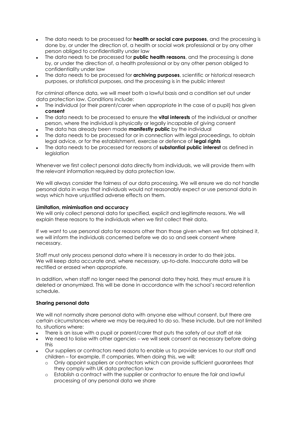- The data needs to be processed for **health or social care purposes**, and the processing is done by, or under the direction of, a health or social work professional or by any other person obliged to confidentiality under law
- The data needs to be processed for **public health reasons**, and the processing is done by, or under the direction of, a health professional or by any other person obliged to confidentiality under law
- The data needs to be processed for **archiving purposes**, scientific or historical research purposes, or statistical purposes, and the processing is in the public interest

For criminal offence data, we will meet both a lawful basis and a condition set out under data protection law. Conditions include:

- The individual (or their parent/carer when appropriate in the case of a pupil) has given **consent**
- The data needs to be processed to ensure the **vital interests** of the individual or another person, where the individual is physically or legally incapable of giving consent
- The data has already been made **manifestly public** by the individual
- The data needs to be processed for or in connection with legal proceedings, to obtain legal advice, or for the establishment, exercise or defence of **legal rights**
- The data needs to be processed for reasons of **substantial public interest** as defined in leaislation

Whenever we first collect personal data directly from individuals, we will provide them with the relevant information required by data protection law.

We will always consider the fairness of our data processing. We will ensure we do not handle personal data in ways that individuals would not reasonably expect or use personal data in ways which have unjustified adverse effects on them.

#### **Limitation, minimisation and accuracy**

We will only collect personal data for specified, explicit and legitimate reasons. We will explain these reasons to the individuals when we first collect their data.

If we want to use personal data for reasons other than those given when we first obtained it, we will inform the individuals concerned before we do so and seek consent where necessary.

Staff must only process personal data where it is necessary in order to do their jobs. We will keep data accurate and, where necessary, up-to-date. Inaccurate data will be rectified or erased when appropriate.

In addition, when staff no longer need the personal data they hold, they must ensure it is deleted or anonymized. This will be done in accordance with the school's record retention schedule.

#### **Sharing personal data**

We will not normally share personal data with anyone else without consent, but there are certain circumstances where we may be required to do so. These include, but are not limited to, situations where:

- There is an issue with a pupil or parent/carer that puts the safety of our staff at risk
- We need to liaise with other agencies we will seek consent as necessary before doing this
- Our suppliers or contractors need data to enable us to provide services to our staff and children – for example, IT companies. When doing this, we will:
	- o Only appoint suppliers or contractors which can provide sufficient guarantees that they comply with UK data protection law
	- o Establish a contract with the supplier or contractor to ensure the fair and lawful processing of any personal data we share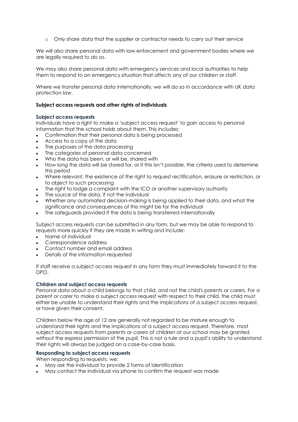o Only share data that the supplier or contractor needs to carry out their service

We will also share personal data with law enforcement and government bodies where we are legally required to do so.

We may also share personal data with emergency services and local authorities to help them to respond to an emergency situation that affects any of our children or staff.

Where we transfer personal data internationally, we will do so in accordance with UK data protection law.

#### **Subject access requests and other rights of individuals**

#### **Subject access requests**

Individuals have a right to make a 'subject access request' to gain access to personal information that the school holds about them. This includes:

- Confirmation that their personal data is being processed
- Access to a copy of the data
- The purposes of the data processing
- The categories of personal data concerned
- Who the data has been, or will be, shared with
- How long the data will be stored for, or if this isn't possible, the criteria used to determine this period
- Where relevant, the existence of the right to request rectification, erasure or restriction, or to object to such processing
- The right to lodge a complaint with the ICO or another supervisory authority
- The source of the data, if not the individual
- Whether any automated decision-making is being applied to their data, and what the significance and consequences of this might be for the individual
- The safeguards provided if the data is being transferred internationally

Subject access requests can be submitted in any form, but we may be able to respond to requests more quickly if they are made in writing and include:

- Name of individual
- Correspondence address
- Contact number and email address
- Details of the information requested

If staff receive a subject access request in any form they must immediately forward it to the DPO.

#### **Children and subject access requests**

Personal data about a child belongs to that child, and not the child's parents or carers. For a parent or carer to make a subject access request with respect to their child, the child must either be unable to understand their rights and the implications of a subject access request, or have given their consent.

Children below the age of 12 are generally not regarded to be mature enough to understand their rights and the implications of a subject access request. Therefore, most subject access requests from parents or carers of children at our school may be granted without the express permission of the pupil. This is not a rule and a pupil's ability to understand their rights will always be judged on a case-by-case basis.

#### **Responding to subject access requests**

When responding to requests, we:

- May ask the individual to provide 2 forms of identification
- May contact the individual via phone to confirm the request was made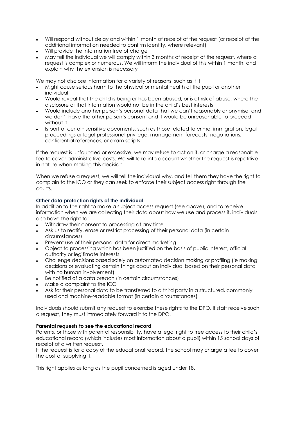- Will respond without delay and within 1 month of receipt of the request (or receipt of the additional information needed to confirm identity, where relevant)
- Will provide the information free of charge
- May tell the individual we will comply within 3 months of receipt of the request, where a request is complex or numerous. We will inform the individual of this within 1 month, and explain why the extension is necessary

We may not disclose information for a variety of reasons, such as if it:

- Might cause serious harm to the physical or mental health of the pupil or another individual
- Would reveal that the child is being or has been abused, or is at risk of abuse, where the disclosure of that information would not be in the child's best interests
- Would include another person's personal data that we can't reasonably anonymise, and we don't have the other person's consent and it would be unreasonable to proceed without it
- Is part of certain sensitive documents, such as those related to crime, immigration, legal proceedings or legal professional privilege, management forecasts, negotiations, confidential references, or exam scripts

If the request is unfounded or excessive, we may refuse to act on it, or charge a reasonable fee to cover administrative costs. We will take into account whether the request is repetitive in nature when making this decision.

When we refuse a request, we will tell the individual why, and tell them they have the right to complain to the ICO or they can seek to enforce their subject access right through the courts.

#### **Other data protection rights of the individual**

In addition to the right to make a subject access request (see above), and to receive information when we are collecting their data about how we use and process it, individuals also have the right to:

- Withdraw their consent to processing at any time
- Ask us to rectify, erase or restrict processing of their personal data (in certain circumstances)
- Prevent use of their personal data for direct marketing
- Object to processing which has been justified on the basis of public interest, official authority or legitimate interests
- Challenge decisions based solely on automated decision making or profiling (ie making decisions or evaluating certain things about an individual based on their personal data with no human involvement)
- Be notified of a data breach (in certain circumstances)
- Make a complaint to the ICO
- Ask for their personal data to be transferred to a third party in a structured, commonly used and machine-readable format (in certain circumstances)

Individuals should submit any request to exercise these rights to the DPO. If staff receive such a request, they must immediately forward it to the DPO.

#### **Parental requests to see the educational record**

Parents, or those with parental responsibility, have a legal right to free access to their child's educational record (which includes most information about a pupil) within 15 school days of receipt of a written request.

If the request is for a copy of the educational record, the school may charge a fee to cover the cost of supplying it.

This right applies as long as the pupil concerned is aged under 18.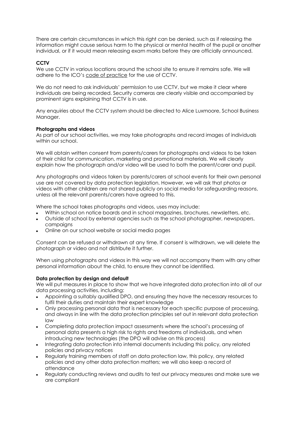There are certain circumstances in which this right can be denied, such as if releasing the information might cause serious harm to the physical or mental health of the pupil or another individual, or if it would mean releasing exam marks before they are officially announced.

#### **CCTV**

We use CCTV in various locations around the school site to ensure it remains safe. We will adhere to the ICO's [code of practice](https://ico.org.uk/media/for-organisations/documents/1542/cctv-code-of-practice.pdf) for the use of CCTV.

We do not need to ask individuals' permission to use CCTV, but we make it clear where individuals are being recorded. Security cameras are clearly visible and accompanied by prominent signs explaining that CCTV is in use.

Any enquiries about the CCTV system should be directed to Alice Luxmoore, School Business Manager.

#### **Photographs and videos**

As part of our school activities, we may take photographs and record images of individuals within our school.

We will obtain written consent from parents/carers for photographs and videos to be taken of their child for communication, marketing and promotional materials. We will clearly explain how the photograph and/or video will be used to both the parent/carer and pupil.

Any photographs and videos taken by parents/carers at school events for their own personal use are not covered by data protection legislation. However, we will ask that photos or videos with other children are not shared publicly on social media for safeguarding reasons, unless all the relevant parents/carers have agreed to this.

Where the school takes photographs and videos, uses may include:

- Within school on notice boards and in school magazines, brochures, newsletters, etc.
- Outside of school by external agencies such as the school photographer, newspapers, campaigns
- Online on our school website or social media pages

Consent can be refused or withdrawn at any time. If consent is withdrawn, we will delete the photograph or video and not distribute it further.

When using photographs and videos in this way we will not accompany them with any other personal information about the child, to ensure they cannot be identified.

#### **Data protection by design and default**

We will put measures in place to show that we have integrated data protection into all of our data processing activities, including:

- Appointing a suitably qualified DPO, and ensuring they have the necessary resources to fulfil their duties and maintain their expert knowledge
- Only processing personal data that is necessary for each specific purpose of processing, and always in line with the data protection principles set out in relevant data protection law
- Completing data protection impact assessments where the school's processing of personal data presents a high risk to rights and freedoms of individuals, and when introducing new technologies (the DPO will advise on this process)
- Integrating data protection into internal documents including this policy, any related policies and privacy notices
- Regularly training members of staff on data protection law, this policy, any related policies and any other data protection matters; we will also keep a record of attendance
- Regularly conducting reviews and audits to test our privacy measures and make sure we are compliant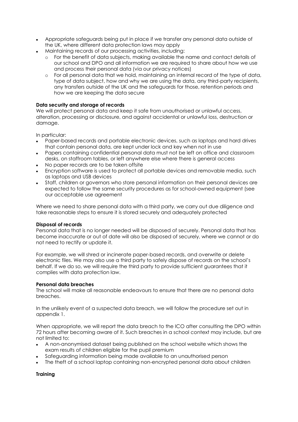- Appropriate safeguards being put in place if we transfer any personal data outside of the UK, where different data protection laws may apply
- Maintaining records of our processing activities, including:
	- o For the benefit of data subjects, making available the name and contact details of our school and DPO and all information we are required to share about how we use and process their personal data (via our privacy notices)
	- o For all personal data that we hold, maintaining an internal record of the type of data, type of data subject, how and why we are using the data, any third-party recipients, any transfers outside of the UK and the safeguards for those, retention periods and how we are keeping the data secure

#### **Data security and storage of records**

We will protect personal data and keep it safe from unauthorised or unlawful access, alteration, processing or disclosure, and against accidental or unlawful loss, destruction or damage.

In particular:

- Paper-based records and portable electronic devices, such as laptops and hard drives that contain personal data, are kept under lock and key when not in use
- Papers containing confidential personal data must not be left on office and classroom desks, on staffroom tables, or left anywhere else where there is general access
- No paper records are to be taken offsite
- Encryption software is used to protect all portable devices and removable media, such as laptops and USB devices
- Staff, children or governors who store personal information on their personal devices are expected to follow the same security procedures as for school-owned equipment (see our acceptable use agreement

Where we need to share personal data with a third party, we carry out due diligence and take reasonable steps to ensure it is stored securely and adequately protected

#### **Disposal of records**

Personal data that is no longer needed will be disposed of securely. Personal data that has become inaccurate or out of date will also be disposed of securely, where we cannot or do not need to rectify or update it.

For example, we will shred or incinerate paper-based records, and overwrite or delete electronic files. We may also use a third party to safely dispose of records on the school's behalf. If we do so, we will require the third party to provide sufficient guarantees that it complies with data protection law.

#### **Personal data breaches**

The school will make all reasonable endeavours to ensure that there are no personal data breaches.

In the unlikely event of a suspected data breach, we will follow the procedure set out in appendix 1.

When appropriate, we will report the data breach to the ICO after consulting the DPO within 72 hours after becoming aware of it. Such breaches in a school context may include, but are not limited to:

- A non-anonymised dataset being published on the school website which shows the exam results of children eligible for the pupil premium
- Safeguarding information being made available to an unauthorised person
- The theft of a school laptop containing non-encrypted personal data about children

#### **Training**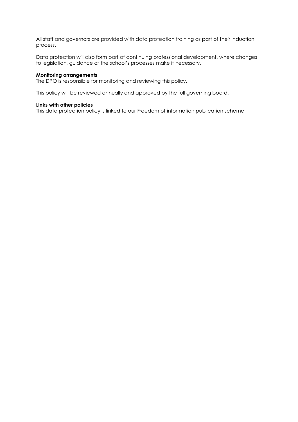All staff and governors are provided with data protection training as part of their induction process.

Data protection will also form part of continuing professional development, where changes to legislation, guidance or the school's processes make it necessary.

#### **Monitoring arrangements**

The DPO is responsible for monitoring and reviewing this policy.

This policy will be reviewed annually and approved by the full governing board.

#### **Links with other policies**

This data protection policy is linked to our Freedom of information publication scheme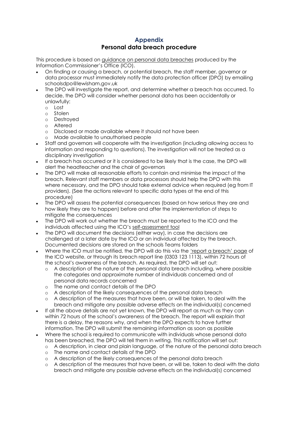#### **Appendix Personal data breach procedure**

This procedure is based on [guidance on personal data breaches](https://ico.org.uk/for-organisations/guide-to-the-general-data-protection-regulation-gdpr/personal-data-breaches/) produced by the Information Commissioner's Office (ICO).

- On finding or causing a breach, or potential breach, the staff member, governor or data processor must immediately notify the data protection officer (DPO) by emailing schoolsdpo@lewisham.gov.uk
- The DPO will investigate the report, and determine whether a breach has occurred. To decide, the DPO will consider whether personal data has been accidentally or unlawfully:
	- o Lost
	- o Stolen
	- o Destroyed
	- o Altered
	- o Disclosed or made available where it should not have been<br>
	o Made available to unauthorised people
	- Made available to unauthorised people
- Staff and governors will cooperate with the investigation (including allowing access to information and responding to questions). The investigation will not be treated as a disciplinary investigation
- If a breach has occurred or it is considered to be likely that is the case, the DPO will alert the headteacher and the chair of governors
- The DPO will make all reasonable efforts to contain and minimise the impact of the breach. Relevant staff members or data processors should help the DPO with this where necessary, and the DPO should take external advice when required (eg from IT providers). (See the actions relevant to specific data types at the end of this procedure)
- The DPO will assess the potential consequences (based on how serious they are and how likely they are to happen) before and after the implementation of steps to mitigate the consequences
- The DPO will work out whether the breach must be reported to the ICO and the individuals affected using the ICO's [self-assessment tool](https://ico.org.uk/for-organisations/report-a-breach/personal-data-breach-assessment/)
- The DPO will document the decisions (either way), in case the decisions are challenged at a later date by the ICO or an individual affected by the breach. Documented decisions are stored on the schools Teams folders
- Where the ICO must be notified, the DPO will do this via the ['report a breach' page](https://ico.org.uk/for-organisations/report-a-breach/) of the ICO website, or through its breach report line (0303 123 1113), within 72 hours of the school's awareness of the breach. As required, the DPO will set out:
	- o A description of the nature of the personal data breach including, where possible the categories and approximate number of individuals concerned and of personal data records concerned
	- o The name and contact details of the DPO
	- o A description of the likely consequences of the personal data breach
	- o A description of the measures that have been, or will be taken, to deal with the breach and mitigate any possible adverse effects on the individual(s) concerned
- If all the above details are not yet known, the DPO will report as much as they can within 72 hours of the school's awareness of the breach. The report will explain that there is a delay, the reasons why, and when the DPO expects to have further information. The DPO will submit the remaining information as soon as possible
- Where the school is required to communicate with individuals whose personal data has been breached, the DPO will tell them in writing. This notification will set out:
	- o A description, in clear and plain language, of the nature of the personal data breach
	- o The name and contact details of the DPO
	- o A description of the likely consequences of the personal data breach
	- o A description of the measures that have been, or will be, taken to deal with the data breach and mitigate any possible adverse effects on the individual(s) concerned